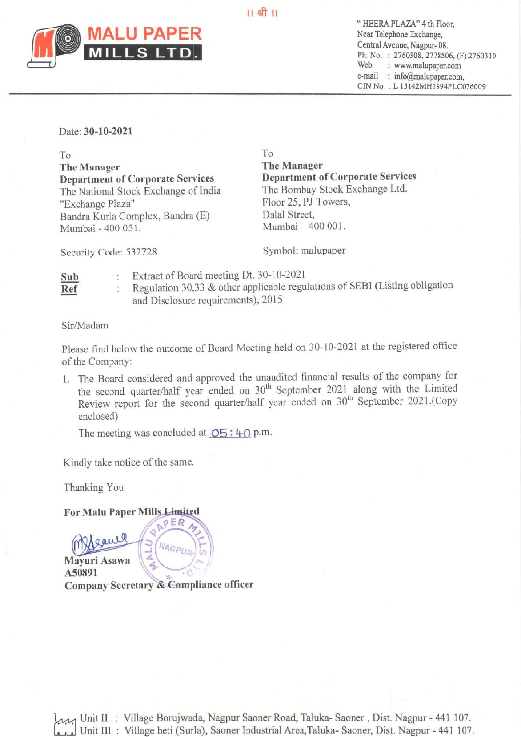$11$   $$$ <sup>11</sup>



**U PAPER** Telephone Exchange, Central Avenue, Nagpur- 08.<br>Ph. No. : 2760308, 2778506, (F) 2760310 Web —: www.malupaper.com e-mail : info@malupaper.com, CIN No. : L 15142MH1994PLC076009

## Date: 30-10-2021

To To The Manager<br>
The Manager<br>
Department of Corporate Services<br>
Department of Corporate Services **Department of Corporate Services** Department of Corporate Service<br>The National Stock Exchange of India The Bombay Stock Exchange Ltd. The National Stock Exchange of India "Exchange Plaza" Floor 25, PJ Towers, Bandra Kurla Complex, Bandra (E) Dalal Street,<br>Mumbai - 400 051 Mumbai - 400 001. Mumbai - 400 051.

Security Code: 532728 Symbol: malupaper

Sub : Extract of Board meeting Dt. 30-10-2021 **Ref** : Regulation 30,33  $\&$  other applicable regulations of SEBI (Listing obligation and Disclosure requirements), 2015

Sir/Madam

Please find below the outcome of Board Meeting held on 30-10-2021 at the registered office of the Company:

1. The Board considered and approved the unaudited financial results of the company for the second quarter/half year ended on 30<sup>th</sup> September 2021 along with the Limited Review report for the second quarter/half year ended on 30" September 2021.(Copy enclosed)

The meeting was concluded at  $\overline{OS}$ : 40 p.m.

PER

Kindly take notice of the same.

Thanking You

For Malu Paper Mills Limited

gaul **NAGPUR** Mayuri Asawa \ A50891 Company Secretary & Compliance officer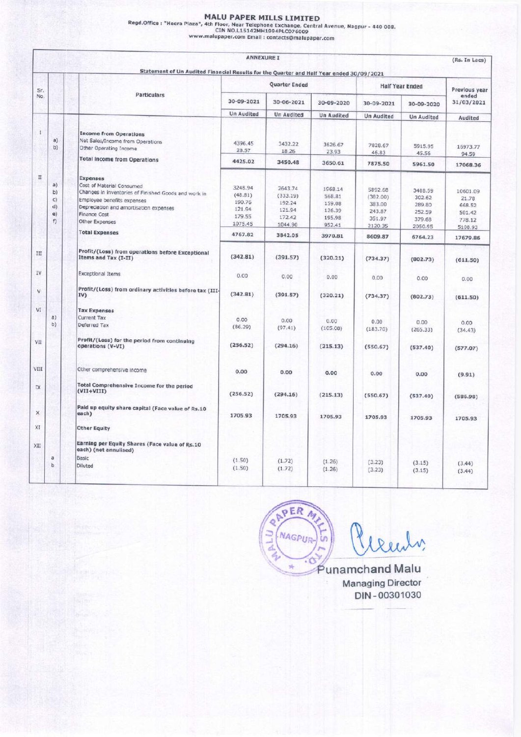|                                 |          |                                                                                                      |                             | <b>MALU PAPER MILLS LIMITED</b>                  |                   |                    |                        |                                      |
|---------------------------------|----------|------------------------------------------------------------------------------------------------------|-----------------------------|--------------------------------------------------|-------------------|--------------------|------------------------|--------------------------------------|
|                                 |          | Regd.Office: "Heera Plaza", 4th Floor, Near Telephone Exchange, Central Avenue, Nagpur - 440 008.    |                             | CIN NO.L15142MH1994PLC076009                     |                   |                    |                        |                                      |
|                                 |          |                                                                                                      |                             | www.malupaper.com Email : contacts@malupaper.com |                   |                    |                        |                                      |
|                                 |          |                                                                                                      |                             |                                                  |                   |                    |                        |                                      |
|                                 |          |                                                                                                      | <b>ANNEXURE I</b>           |                                                  |                   |                    |                        | (Rs. In Lacs)                        |
|                                 |          | Statement of Un Audited Financial Results for the Quarter and Half Year ended 30/09/2021             |                             | Quarter Ended                                    |                   |                    | <b>Half Year Ended</b> |                                      |
| Sr.<br>No.                      |          | Particulars                                                                                          | 30-09-2021                  | $30 - 06 - 2021$                                 | 30-09-2020        | 30-09-2021         | 30-09-2020             | Previous year<br>ended<br>31/03/2021 |
|                                 |          |                                                                                                      | Un Audited                  | Un Audited                                       | <b>Un Audited</b> | <b>Un Audited</b>  | <b>Un Audited</b>      | Audited                              |
| 1                               | a)       | <b>Income from Operations</b>                                                                        |                             |                                                  |                   |                    |                        |                                      |
|                                 | b)       | Net Sales/Income from Operations<br>Other Operating Income                                           | 4396.45<br>28.57            | 3432.22<br>18.26                                 | 3626.67<br>23.93  | 7828.67<br>46.83   | 5915.95<br>45.56       | 16973.77<br>94.59                    |
|                                 |          | <b>Total income from Operations</b>                                                                  | 4425.02                     | 3450.48                                          | 3650.61           | 7875.50            | 5961.50                | 17068.36                             |
| $\scriptstyle\rm II$            | a)<br>b) | <b>Expenses</b><br>Cost of Material Consumed<br>Changes in inventories of Finished Goods and work in | 3248.94                     | 2643.74                                          | 1968.14           | 5892.68            | 3488.59                | 10601.09                             |
|                                 | c)<br>d) | Employee benefits expenses<br>Depreciation and amortisation expenses                                 | (48.81)<br>190.76<br>121.94 | (333.19)<br>192.24<br>121.94                     | 568.81<br>159.08  | (382.00)<br>383.00 | 302.62<br>289.80       | 21.78<br>668.52                      |
|                                 | e)<br>f) | Finance Cost<br>Other Expenses                                                                       | 179.55<br>1075.45           | 172.42                                           | 126.39<br>195.98  | 243.87<br>351.97   | 252.59<br>379.68       | 501.42<br>778.12                     |
|                                 |          | <b>Total Expenses</b>                                                                                | 4767.82                     | 1044.90<br>3842.05                               | 952.41<br>3970.81 | 2120.35<br>8609.87 | 2050.95<br>6764.23     | 5108.93<br>17679.86                  |
| $\rm III$                       |          | Profit/(Loss) from operations before Exceptional<br>Items and Tax (I-II)                             | (342.81)                    | (391.57)                                         | (320.21)          | (734.37)           |                        |                                      |
| IV.                             |          | <b>Exceptional Items</b>                                                                             | 0.00                        | 0.00                                             | 0.00              |                    | (802.73)               | (611.50)                             |
| v                               |          | Profit/(Loss) from ordinary activities before tax (III-                                              | (342.81)                    |                                                  |                   | 0.00               | 0.00                   | 0.00                                 |
| VI                              |          | IV)<br><b>Tax Expenses</b>                                                                           |                             | (391.57)                                         | (320.21)          | (734.37)           | (802.73)               | (611.50)                             |
|                                 | a)<br>b) | Current Tax<br>Deferred Tax                                                                          | 0.00<br>(86.29)             | 0.00<br>(97.41)                                  | 0.00<br>(105.08)  | 0.00<br>(183.70)   | 0.00                   | 0.00                                 |
|                                 |          | Profit/(Loss) for the period from continuing                                                         | (256.52)                    | (294.16)                                         |                   |                    | (265.33)               | (34.43)                              |
|                                 |          | operations (V-VI)                                                                                    |                             |                                                  | (215.13)          | (550.67)           | (537.40)               | (577.07)                             |
|                                 |          | Other comprehensive income                                                                           | 0.00                        | 0.00                                             | 0.00              | 0.00               | 0.00                   | (9.91)                               |
| VII                             |          | Total Comprehensive Income for the period<br>$(VII+VIII)$                                            | (256.52)                    | (294.16)                                         | (215.13)          | (550.67)           | (537.40)               | (586.98)                             |
| $I\!\!\!\times$<br>$\mathsf{X}$ |          | Paid up equity share capital (Face value of Rs.10<br>each)                                           | 1705.93                     | 1705.93                                          | 1705.93           | 1705.93            |                        |                                      |
| VIII<br>XI                      |          | <b>Other Equity</b>                                                                                  |                             |                                                  |                   |                    | 1705.93                | 1705.93                              |
| XII                             |          | Earning per Equity Shares (Face value of Rs.10<br>each) (not annulised)                              |                             |                                                  |                   |                    |                        |                                      |
|                                 | a<br>b   | Basic<br>Diluted                                                                                     | (1.50)<br>(1.50)            | (1.72)<br>(1.72)                                 | (1.26)<br>(1.26)  | (3.23)<br>(3.23)   | (3.15)<br>(3.15)       | (3.44)<br>(3.44)                     |

RAPER A Clearly, Punamchand Malu 54

Managing Director DIN - 00301030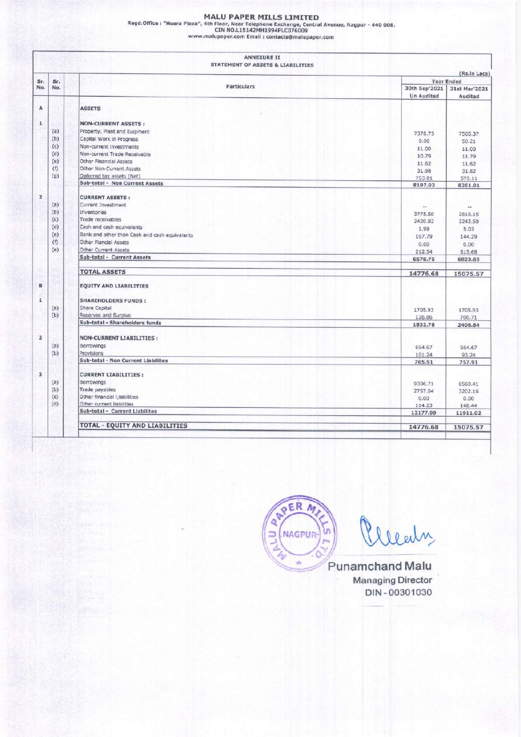| <b>MALU PAPER MILLS LIMITED</b><br>Regd.Office: "Heera Plaza", 4th Floor, Near Telephone Exchange, Central Avenue, Nagpur - 440 008. |  |
|--------------------------------------------------------------------------------------------------------------------------------------|--|
| CIN NO.L15142MH1994PLC076009<br>www.malupaper.com Email : contacts@malupaper.com                                                     |  |
| <b>ANNEXURE II</b><br>STATEMENT OF ASSETS & LIABILITIES                                                                              |  |
|                                                                                                                                      |  |

|                         |                   | <b>MALU PAPER MILLS LIMITED</b><br>Regd.Office: "Heera Plaza", 4th Floor, Near Telephone Exchange, Central Avenue, Nagpur - 440 008. |                            |                                                    |
|-------------------------|-------------------|--------------------------------------------------------------------------------------------------------------------------------------|----------------------------|----------------------------------------------------|
|                         |                   | CIN NO.L15142MH1994PLC076009<br>www.malupaper.com Email : contacts@malupaper.com                                                     |                            |                                                    |
|                         |                   | <b>ANNEXURE II</b><br>STATEMENT OF ASSETS & LIABILITIES                                                                              |                            |                                                    |
| Sr.<br>No.              | Sr.<br>No.        |                                                                                                                                      |                            |                                                    |
|                         |                   | Particulars                                                                                                                          | 30th Sep'2021              | (Rs.in Lacs)<br><b>Year Ended</b><br>31st Mar'2021 |
| А                       |                   | <b>ASSETS</b>                                                                                                                        | <b>Un Audited</b>          | Audited                                            |
| $\mathbf{1}$            | (a)               | <b>NON-CURRENT ASSETS:</b><br>Property, Plant and Euipment                                                                           | 7378.73                    | 7565.37                                            |
|                         | (b)<br>(c)        | Capital Work in Progress<br>Non-current investments                                                                                  | 0.00<br>11.00              | 50.21<br>11.00                                     |
|                         | (d)<br>(e)<br>(f) | Non-current Trade Receivable<br>Other Financial Assets<br>Other Non-Current Assets                                                   | 10.79<br>11.62             | 11.79<br>11.62                                     |
|                         | (q)               | Deferred tax assets (Net)<br>Sub-total - Non Current Assets                                                                          | 31.98<br>753.81<br>8197.92 | 31.82<br>570.11<br>8251.91                         |
| $\mathbf{2}$            | (a)               | <b>CURRENT ASSETS:</b><br>Current Investment                                                                                         | $\sim$                     |                                                    |
|                         | (b)<br>(c)        | Inventories<br>Trade receivables                                                                                                     | 3775.50<br>2420.92         | 2816.15<br>3242.50                                 |
|                         | (d)<br>(e)        | Cash and cash equivalents<br>Bank and other than Cash and cash equivalents                                                           | 1.99<br>167.79             | 5.03<br>144.29                                     |
|                         | (1)<br>(e)        | Other Flancial Assets<br>Other Current Assets                                                                                        | 0.00<br>212.54             | 0.00<br>615.68                                     |
| 50                      |                   | Sub-total - Current Assets                                                                                                           | 6578.75                    | 6823.65                                            |
| <b>Sec</b><br>в         |                   | <b>TOTAL ASSETS</b><br><b>EQUITY AND LIABILITIES</b>                                                                                 | 14776.68                   | 15075.57                                           |
| $\overline{\mathbf{1}}$ |                   | <b>SHAREHOLDERS FUNDS:</b>                                                                                                           |                            |                                                    |
|                         | (a)<br>(b)        | Share Capital<br>Reserves and Surplus                                                                                                | 1705.93<br>126.86          | 1705.93<br>700.71                                  |
| $\overline{\mathbf{2}}$ |                   | Sub-total - Shareholders funds<br><b>NON-CURRENT LIABILITIES:</b>                                                                    | 1832.78                    | 2406.64                                            |
|                         | (a)<br>(b)        | Borrowings<br><b>Provisions</b>                                                                                                      | 664.67<br>101.24           | 564.67<br>93.24                                    |
| $\overline{\mathbf{3}}$ |                   | Sub-total - Non Current Liabilites                                                                                                   | 765.91                     | 757.91                                             |
|                         | (a)<br>(b)        | <b>CURRENT LIABILITIES:</b><br>Borrowings<br>Trade payables                                                                          | 9306.71                    | 8560.41                                            |
|                         | (c)<br>(d)        | Other financial I;iabilities<br>Other current liabilities                                                                            | 2757.04<br>0.00<br>114.23  | 3202.16<br>0.00<br>148.44                          |
|                         |                   | Sub-total - Current Liabilites<br><b>TOTAL - EQUITY AND LIABILITIES</b>                                                              | 12177.99<br>14776.68       | 11911.02<br>15075.57                               |



Punamehand Malu Managing Director DIN - 00301030

ı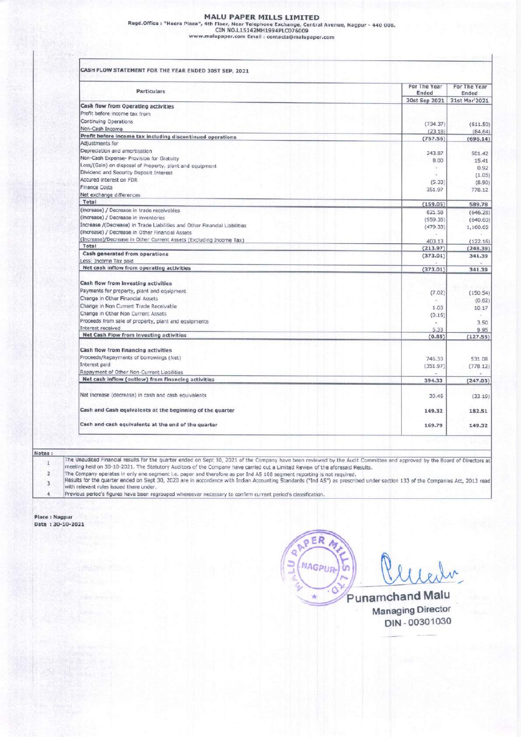## MALU PAPER MILLS LIMITED

Regd.Office : "Heera Plaza", 4th Floor, Near Telephone Exchange, Central Avenue, Nagpur - 440 008.<br>CIN NO.L15142MH1994PLCO76009<br>www.malupaper.com Email : contacts@malupaper.com MALU PAPER MILLS<br>
Regd.Office : "Heera Plaza", 4th Floor, Near Telephone Excl<br>
CIN NO.L15142MH1994PL<br>
www.malupaper.com Email : contact<br>
T

| CASH FLOW STATEMENT FOR THE YEAR ENDED 30ST SEP, 2021                                                                 |                       |
|-----------------------------------------------------------------------------------------------------------------------|-----------------------|
| <b>Particulars</b>                                                                                                    | For The Year<br>Ended |
| Cash flow from Operating activities                                                                                   | 30st Sep 2021         |
| Profit before income tax from<br>Continuing Operations                                                                | (734.37)              |
| Non-Cash Income<br>Profit before income tax including discontinued operations                                         | (23.18)<br>(757.56)   |
| Adjustments for                                                                                                       |                       |
|                                                                                                                       |                       |
| Depreciation and amortisation<br>Non-Cash Expense- Provision for Gratuity                                             | 243.87<br>8.00        |
| Loss/(Gain) on disposal of Property, plant and equipment<br>Dividend and Security Deposit Interest                    |                       |
| Accured interest on FDR<br><b>Finance Costs</b>                                                                       | (5.33)<br>351.97      |
| Net exchange differences<br>Total                                                                                     |                       |
| (increase) / Decrease in trade receivables<br>(increase) / Decrease in inventories                                    | (159.05)<br>821.58    |
| Increase /(Decrease) in Trade Liabilities and Other Financial Liabilities                                             | (959.35)<br>(479.33)  |
| (increase) / Decrease in Other Financial Assets<br>(Increase)/Decrease in Other Current Assets (Excluding Income Tax) | 403.13                |
| Total<br>Cash generated from operations                                                                               | (213.97)<br>(373.01)  |
| Less: Income Tax paid<br>Net cash inflow from operating activities                                                    | (373.01)              |
|                                                                                                                       |                       |
| Cash flow from investing activities<br>Payments for property, plant and equipment.                                    | (7.02)                |
| Change in Other Financial Assets<br>Change in Non Current Trade Receivable                                            | 1.00                  |
| Change in Other Non Current Assets<br>Proceeds from sale of property, plant and equipments                            | (0.16)                |
| Interest received                                                                                                     | 5.33                  |
| Net Cash Flow from investing activities                                                                               | (0.85)                |
| Cash flow from financing activities<br>Proceeds/Repayments of borrowings (Net)                                        | 746.30                |
| Interest paid<br>Repayment of Other Non-Current Liabilities                                                           | (351.97)              |
| Net cash inflow (outlow) from financing activities                                                                    | 394,33                |
| Net increase (decrease) in cash and cash equivalents                                                                  | 20.45                 |
| Cash and Cash equivalents at the beginning of the quarter                                                             | 149.32                |
| Cash and cash equivalents at the end of the quarter                                                                   | 169.79                |

| Notes: |                                                                                                                                                                                                                                                                                                                                                   |
|--------|---------------------------------------------------------------------------------------------------------------------------------------------------------------------------------------------------------------------------------------------------------------------------------------------------------------------------------------------------|
|        | The Unaudited Financial results for the quarter ended on Sept 30, 2021 of the Company have been reviewed by the Audit Committee and approved by the Board of Directors at<br>meeting held on 30-10-2021. The Statutory Auditors of the Company have carried out a Limited Review of the aforesaid Results.                                        |
|        | The Company operates in only one segment i.e. paper and therefore as per Ind AS 108 segment reporting is not required.<br>Results for the quarter ended on Sept 30, 2020 are in accordance with Indian Accounting Standards ("Ind AS") as prescribed under section 133 of the Companies Act, 2013 read<br>with relevant rules issued there under. |
|        | Previous period's figures have been regrouped whereever necessary to confirm current period's classification.                                                                                                                                                                                                                                     |

Place : Nagpur Date : 30-10-2021

RAPER  $A_{\mathcal{I}}$  $\supset$  (NAGPUR)  $y=\frac{1}{2}$ 

Punamchand Mal Managing Director DIN - 00301030